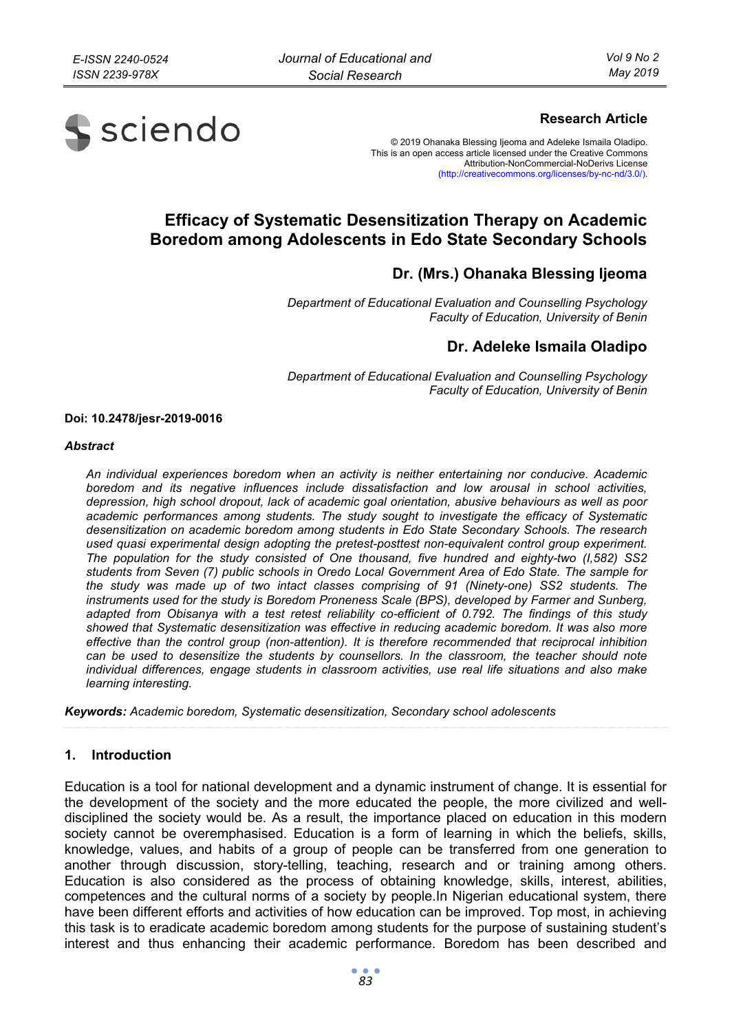

## **Research Article**

© 2019 Ohanaka Blessing Ijeoma and Adeleke Ismaila Oladipo. This is an open access article licensed under the Creative Commons Attribution-NonCommercial-NoDerivs License (http://creativecommons.org/licenses/by-nc-nd/3.0/).

# **Efficacy of Systematic Desensitization Therapy on Academic Boredom among Adolescents in Edo State Secondary Schools**

## **Dr. (Mrs.) Ohanaka Blessing Ijeoma**

*Department of Educational Evaluation and Counselling Psychology Faculty of Education, University of Benin* 

## **Dr. Adeleke Ismaila Oladipo**

*Department of Educational Evaluation and Counselling Psychology Faculty of Education, University of Benin* 

#### **Doi: 10.2478/jesr-2019-0016**

#### *Abstract*

*An individual experiences boredom when an activity is neither entertaining nor conducive. Academic boredom and its negative influences include dissatisfaction and low arousal in school activities, depression, high school dropout, lack of academic goal orientation, abusive behaviours as well as poor academic performances among students. The study sought to investigate the efficacy of Systematic desensitization on academic boredom among students in Edo State Secondary Schools. The research used quasi experimental design adopting the pretest-posttest non-equivalent control group experiment. The population for the study consisted of One thousand, five hundred and eighty-two (I,582) SS2 students from Seven (7) public schools in Oredo Local Government Area of Edo State. The sample for the study was made up of two intact classes comprising of 91 (Ninety-one) SS2 students. The instruments used for the study is Boredom Proneness Scale (BPS), developed by Farmer and Sunberg, adapted from Obisanya with a test retest reliability co-efficient of 0.792. The findings of this study showed that Systematic desensitization was effective in reducing academic boredom. It was also more effective than the control group (non-attention). It is therefore recommended that reciprocal inhibition can be used to desensitize the students by counsellors. In the classroom, the teacher should note individual differences, engage students in classroom activities, use real life situations and also make learning interesting.* 

*Keywords: Academic boredom, Systematic desensitization, Secondary school adolescents* 

### **1. Introduction**

Education is a tool for national development and a dynamic instrument of change. It is essential for the development of the society and the more educated the people, the more civilized and welldisciplined the society would be. As a result, the importance placed on education in this modern society cannot be overemphasised. Education is a form of learning in which the beliefs, skills, knowledge, values, and habits of a group of people can be transferred from one generation to another through discussion, story-telling, teaching, research and or training among others. Education is also considered as the process of obtaining knowledge, skills, interest, abilities, competences and the cultural norms of a society by people.In Nigerian educational system, there have been different efforts and activities of how education can be improved. Top most, in achieving this task is to eradicate academic boredom among students for the purpose of sustaining student's interest and thus enhancing their academic performance. Boredom has been described and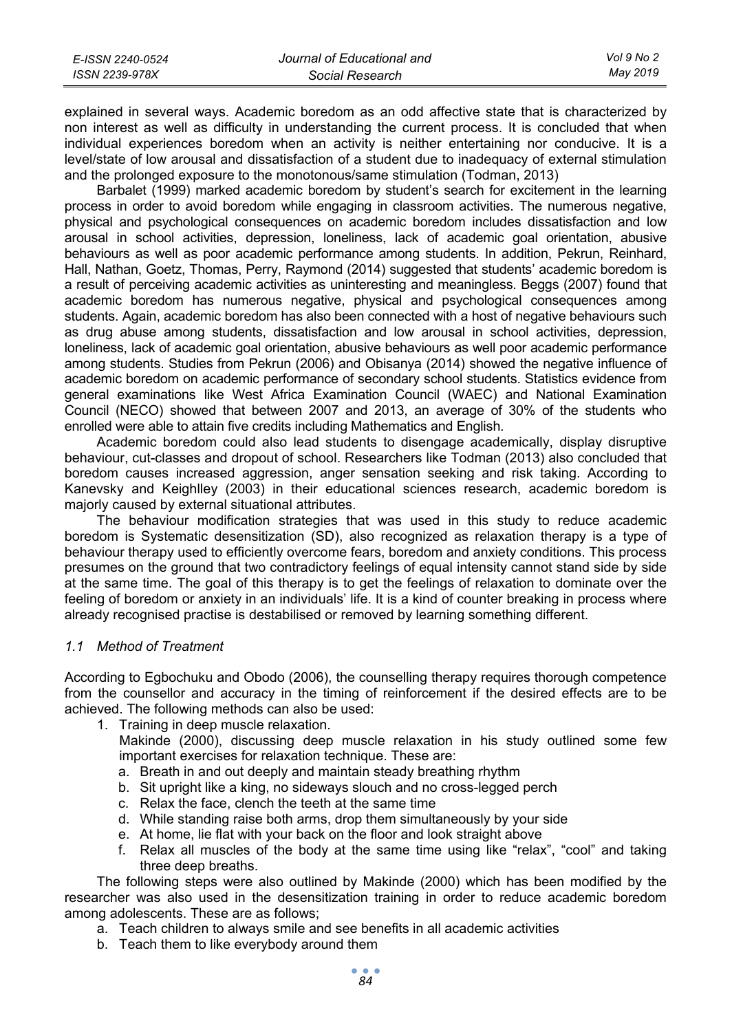| E-ISSN 2240-0524 | Journal of Educational and | <b>Vol 9 No 2</b> |
|------------------|----------------------------|-------------------|
| ISSN 2239-978X   | Social Research            | Mav 2019          |

explained in several ways. Academic boredom as an odd affective state that is characterized by non interest as well as difficulty in understanding the current process. It is concluded that when individual experiences boredom when an activity is neither entertaining nor conducive. It is a level/state of low arousal and dissatisfaction of a student due to inadequacy of external stimulation and the prolonged exposure to the monotonous/same stimulation (Todman, 2013)

Barbalet (1999) marked academic boredom by student's search for excitement in the learning process in order to avoid boredom while engaging in classroom activities. The numerous negative, physical and psychological consequences on academic boredom includes dissatisfaction and low arousal in school activities, depression, loneliness, lack of academic goal orientation, abusive behaviours as well as poor academic performance among students. In addition, Pekrun, Reinhard, Hall, Nathan, Goetz, Thomas, Perry, Raymond (2014) suggested that students' academic boredom is a result of perceiving academic activities as uninteresting and meaningless. Beggs (2007) found that academic boredom has numerous negative, physical and psychological consequences among students. Again, academic boredom has also been connected with a host of negative behaviours such as drug abuse among students, dissatisfaction and low arousal in school activities, depression, loneliness, lack of academic goal orientation, abusive behaviours as well poor academic performance among students. Studies from Pekrun (2006) and Obisanya (2014) showed the negative influence of academic boredom on academic performance of secondary school students. Statistics evidence from general examinations like West Africa Examination Council (WAEC) and National Examination Council (NECO) showed that between 2007 and 2013, an average of 30% of the students who enrolled were able to attain five credits including Mathematics and English.

Academic boredom could also lead students to disengage academically, display disruptive behaviour, cut-classes and dropout of school. Researchers like Todman (2013) also concluded that boredom causes increased aggression, anger sensation seeking and risk taking. According to Kanevsky and Keighlley (2003) in their educational sciences research, academic boredom is majorly caused by external situational attributes.

The behaviour modification strategies that was used in this study to reduce academic boredom is Systematic desensitization (SD), also recognized as relaxation therapy is a type of behaviour therapy used to efficiently overcome fears, boredom and anxiety conditions. This process presumes on the ground that two contradictory feelings of equal intensity cannot stand side by side at the same time. The goal of this therapy is to get the feelings of relaxation to dominate over the feeling of boredom or anxiety in an individuals' life. It is a kind of counter breaking in process where already recognised practise is destabilised or removed by learning something different.

#### *1.1 Method of Treatment*

According to Egbochuku and Obodo (2006), the counselling therapy requires thorough competence from the counsellor and accuracy in the timing of reinforcement if the desired effects are to be achieved. The following methods can also be used:

- 1. Training in deep muscle relaxation.
	- Makinde (2000), discussing deep muscle relaxation in his study outlined some few important exercises for relaxation technique. These are:
	- a. Breath in and out deeply and maintain steady breathing rhythm
	- b. Sit upright like a king, no sideways slouch and no cross-legged perch
	- c. Relax the face, clench the teeth at the same time
	- d. While standing raise both arms, drop them simultaneously by your side
	- e. At home, lie flat with your back on the floor and look straight above
	- f. Relax all muscles of the body at the same time using like "relax", "cool" and taking three deep breaths.

The following steps were also outlined by Makinde (2000) which has been modified by the researcher was also used in the desensitization training in order to reduce academic boredom among adolescents. These are as follows;

- a. Teach children to always smile and see benefits in all academic activities
- b. Teach them to like everybody around them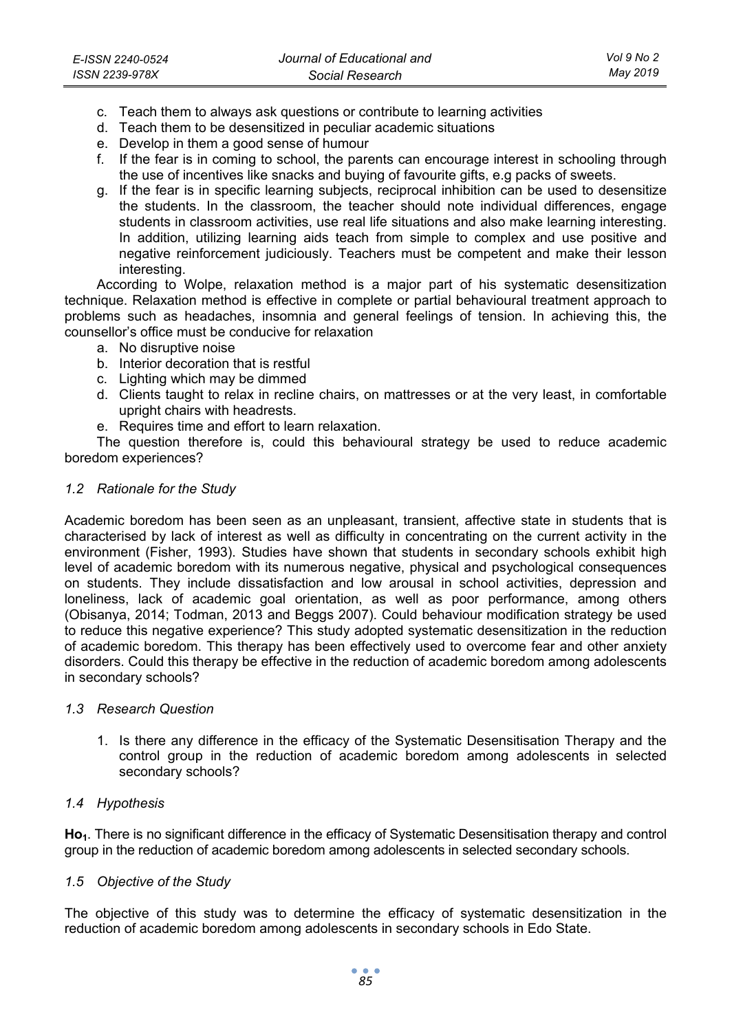- c. Teach them to always ask questions or contribute to learning activities
- d. Teach them to be desensitized in peculiar academic situations
- e. Develop in them a good sense of humour
- f. If the fear is in coming to school, the parents can encourage interest in schooling through the use of incentives like snacks and buying of favourite gifts, e.g packs of sweets.
- g. If the fear is in specific learning subjects, reciprocal inhibition can be used to desensitize the students. In the classroom, the teacher should note individual differences, engage students in classroom activities, use real life situations and also make learning interesting. In addition, utilizing learning aids teach from simple to complex and use positive and negative reinforcement judiciously. Teachers must be competent and make their lesson interesting.

According to Wolpe, relaxation method is a major part of his systematic desensitization technique. Relaxation method is effective in complete or partial behavioural treatment approach to problems such as headaches, insomnia and general feelings of tension. In achieving this, the counsellor's office must be conducive for relaxation

- a. No disruptive noise
- b. Interior decoration that is restful
- c. Lighting which may be dimmed
- d. Clients taught to relax in recline chairs, on mattresses or at the very least, in comfortable upright chairs with headrests.
- e. Requires time and effort to learn relaxation.

The question therefore is, could this behavioural strategy be used to reduce academic boredom experiences?

#### *1.2 Rationale for the Study*

Academic boredom has been seen as an unpleasant, transient, affective state in students that is characterised by lack of interest as well as difficulty in concentrating on the current activity in the environment (Fisher, 1993). Studies have shown that students in secondary schools exhibit high level of academic boredom with its numerous negative, physical and psychological consequences on students. They include dissatisfaction and low arousal in school activities, depression and loneliness, lack of academic goal orientation, as well as poor performance, among others (Obisanya, 2014; Todman, 2013 and Beggs 2007). Could behaviour modification strategy be used to reduce this negative experience? This study adopted systematic desensitization in the reduction of academic boredom. This therapy has been effectively used to overcome fear and other anxiety disorders. Could this therapy be effective in the reduction of academic boredom among adolescents in secondary schools?

#### *1.3 Research Question*

1. Is there any difference in the efficacy of the Systematic Desensitisation Therapy and the control group in the reduction of academic boredom among adolescents in selected secondary schools?

#### *1.4 Hypothesis*

Ho<sub>1</sub>. There is no significant difference in the efficacy of Systematic Desensitisation therapy and control group in the reduction of academic boredom among adolescents in selected secondary schools.

#### *1.5 Objective of the Study*

The objective of this study was to determine the efficacy of systematic desensitization in the reduction of academic boredom among adolescents in secondary schools in Edo State.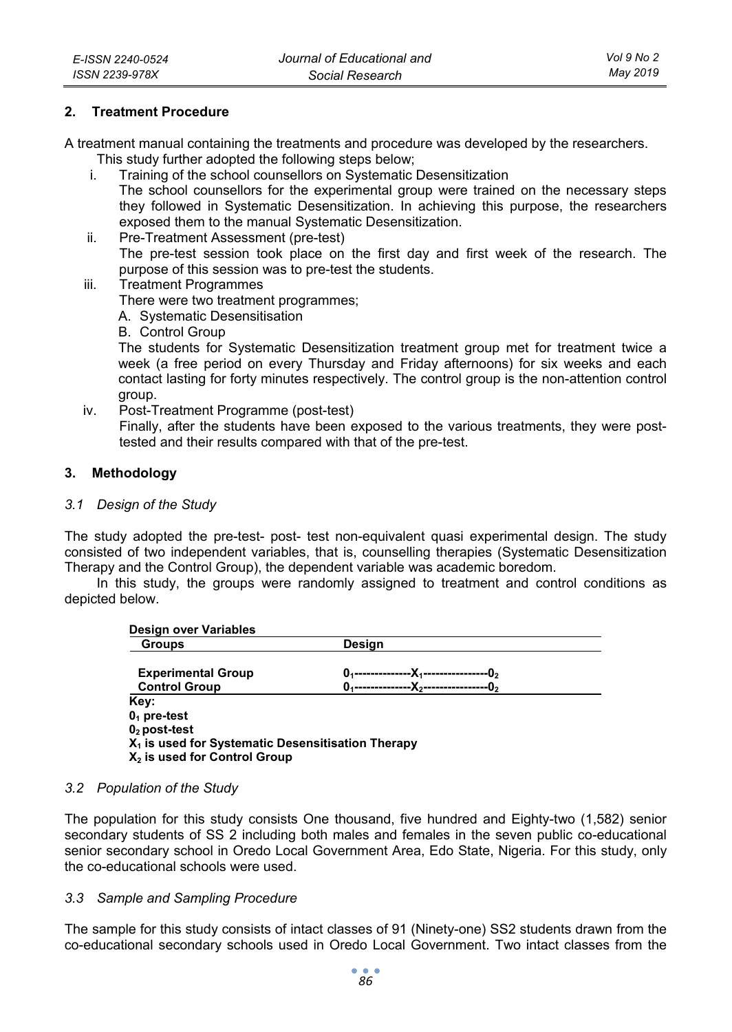### **2. Treatment Procedure**

A treatment manual containing the treatments and procedure was developed by the researchers.

This study further adopted the following steps below;

- i. Training of the school counsellors on Systematic Desensitization The school counsellors for the experimental group were trained on the necessary steps they followed in Systematic Desensitization. In achieving this purpose, the researchers exposed them to the manual Systematic Desensitization.
- ii. Pre-Treatment Assessment (pre-test) The pre-test session took place on the first day and first week of the research. The purpose of this session was to pre-test the students.
- iii. Treatment Programmes

There were two treatment programmes;

A. Systematic Desensitisation

B. Control Group

The students for Systematic Desensitization treatment group met for treatment twice a week (a free period on every Thursday and Friday afternoons) for six weeks and each contact lasting for forty minutes respectively. The control group is the non-attention control group.

iv. Post-Treatment Programme (post-test)

Finally, after the students have been exposed to the various treatments, they were posttested and their results compared with that of the pre-test.

#### **3. Methodology**

#### *3.1 Design of the Study*

The study adopted the pre-test- post- test non-equivalent quasi experimental design. The study consisted of two independent variables, that is, counselling therapies (Systematic Desensitization Therapy and the Control Group), the dependent variable was academic boredom.

In this study, the groups were randomly assigned to treatment and control conditions as depicted below.

| <b>Design over Variables</b>                                  |                                    |  |
|---------------------------------------------------------------|------------------------------------|--|
| <b>Groups</b>                                                 | Design                             |  |
| <b>Experimental Group</b>                                     | -------X <sub>1</sub> ------<br>O. |  |
| <b>Control Group</b>                                          | -X -<br>0.                         |  |
| Key:                                                          |                                    |  |
| $01$ pre-test                                                 |                                    |  |
| $02$ post-test                                                |                                    |  |
| X <sub>1</sub> is used for Systematic Desensitisation Therapy |                                    |  |
| $X2$ is used for Control Group                                |                                    |  |

### *3.2 Population of the Study*

The population for this study consists One thousand, five hundred and Eighty-two (1,582) senior secondary students of SS 2 including both males and females in the seven public co-educational senior secondary school in Oredo Local Government Area, Edo State, Nigeria. For this study, only the co-educational schools were used.

#### *3.3 Sample and Sampling Procedure*

The sample for this study consists of intact classes of 91 (Ninety-one) SS2 students drawn from the co-educational secondary schools used in Oredo Local Government. Two intact classes from the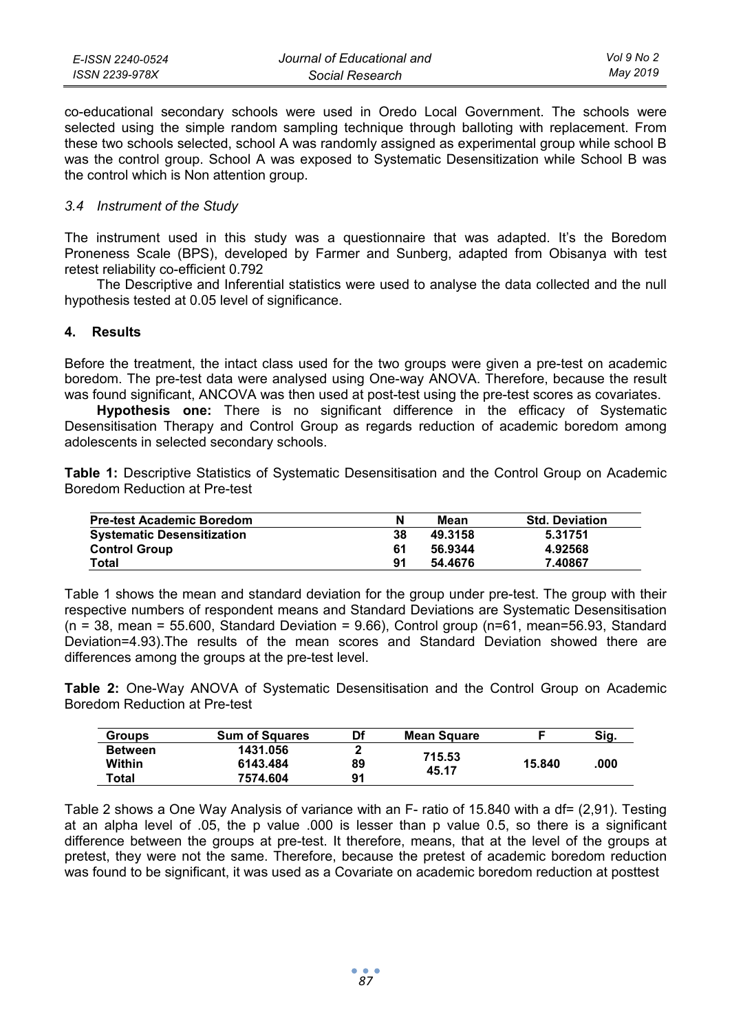| E-ISSN 2240-0524 | Journal of Educational and | Vol 9 No 2 |
|------------------|----------------------------|------------|
| ISSN 2239-978X   | Social Research            | May 2019   |

co-educational secondary schools were used in Oredo Local Government. The schools were selected using the simple random sampling technique through balloting with replacement. From these two schools selected, school A was randomly assigned as experimental group while school B was the control group. School A was exposed to Systematic Desensitization while School B was the control which is Non attention group.

#### *3.4 Instrument of the Study*

The instrument used in this study was a questionnaire that was adapted. It's the Boredom Proneness Scale (BPS), developed by Farmer and Sunberg, adapted from Obisanya with test retest reliability co-efficient 0.792

The Descriptive and Inferential statistics were used to analyse the data collected and the null hypothesis tested at 0.05 level of significance.

#### **4. Results**

Before the treatment, the intact class used for the two groups were given a pre-test on academic boredom. The pre-test data were analysed using One-way ANOVA. Therefore, because the result was found significant, ANCOVA was then used at post-test using the pre-test scores as covariates.

**Hypothesis one:** There is no significant difference in the efficacy of Systematic Desensitisation Therapy and Control Group as regards reduction of academic boredom among adolescents in selected secondary schools.

**Table 1:** Descriptive Statistics of Systematic Desensitisation and the Control Group on Academic Boredom Reduction at Pre-test

| <b>Pre-test Academic Boredom</b>  | N  | Mean    | <b>Std. Deviation</b> |
|-----------------------------------|----|---------|-----------------------|
| <b>Systematic Desensitization</b> | 38 | 49.3158 | 5.31751               |
| <b>Control Group</b>              | 61 | 56.9344 | 4.92568               |
| Total                             | 91 | 54.4676 | 7.40867               |

Table 1 shows the mean and standard deviation for the group under pre-test. The group with their respective numbers of respondent means and Standard Deviations are Systematic Desensitisation  $(n = 38, \text{ mean} = 55.600, \text{ Standard Deviation} = 9.66)$ . Control group  $(n=61, \text{ mean}=56.93, \text{ Standard})$ Deviation=4.93).The results of the mean scores and Standard Deviation showed there are differences among the groups at the pre-test level.

**Table 2:** One-Way ANOVA of Systematic Desensitisation and the Control Group on Academic Boredom Reduction at Pre-test

| <b>Groups</b>  | <b>Sum of Squares</b> | Df | <b>Mean Square</b> |        | Sig. |
|----------------|-----------------------|----|--------------------|--------|------|
| <b>Between</b> | 1431.056              |    | 715.53             |        |      |
| Within         | 6143.484              | 89 | 45.17              | 15.840 | .000 |
| Total          | 7574.604              | 91 |                    |        |      |

Table 2 shows a One Way Analysis of variance with an F- ratio of 15.840 with a df= (2,91). Testing at an alpha level of .05, the p value .000 is lesser than p value 0.5, so there is a significant difference between the groups at pre-test. It therefore, means, that at the level of the groups at pretest, they were not the same. Therefore, because the pretest of academic boredom reduction was found to be significant, it was used as a Covariate on academic boredom reduction at posttest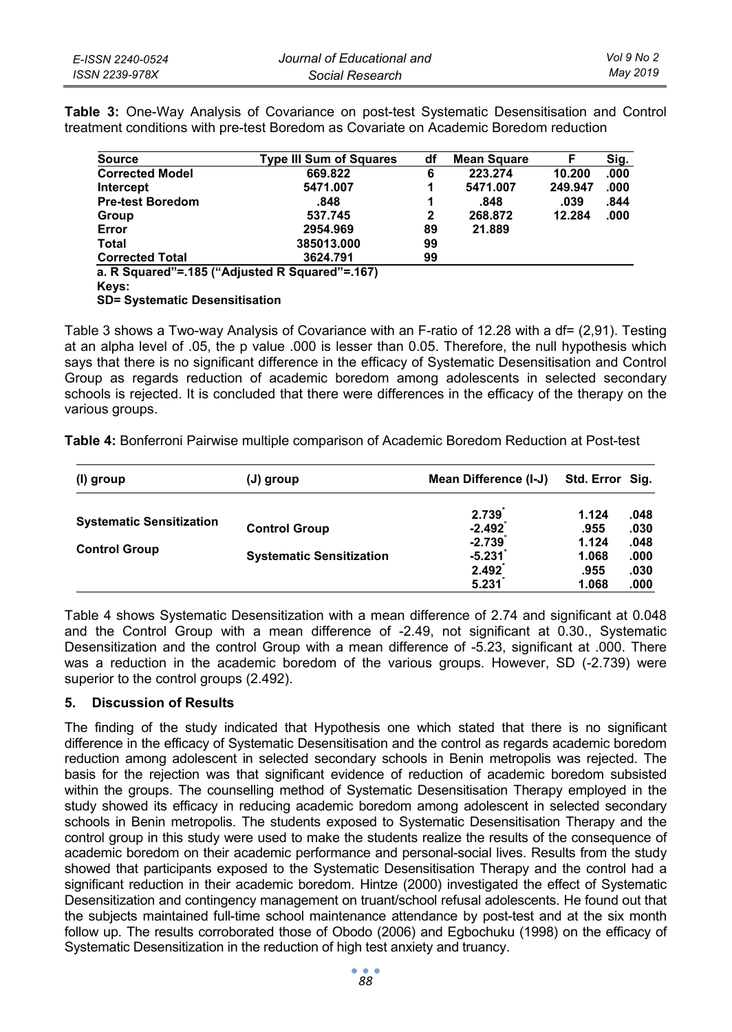| E-ISSN 2240-0524 | Journal of Educational and | Vol 9 No 2 |
|------------------|----------------------------|------------|
| ISSN 2239-978X   | Social Research            | May 2019   |

**Table 3:** One-Way Analysis of Covariance on post-test Systematic Desensitisation and Control treatment conditions with pre-test Boredom as Covariate on Academic Boredom reduction

| <b>Source</b>           | <b>Type III Sum of Squares</b>                | df | <b>Mean Square</b> |         | Sig. |
|-------------------------|-----------------------------------------------|----|--------------------|---------|------|
| <b>Corrected Model</b>  | 669.822                                       | 6  | 223.274            | 10.200  | .000 |
| Intercept               | 5471.007                                      | 1  | 5471.007           | 249.947 | .000 |
| <b>Pre-test Boredom</b> | .848                                          | 1  | .848               | .039    | .844 |
| Group                   | 537.745                                       | 2  | 268.872            | 12.284  | .000 |
| Error                   | 2954.969                                      | 89 | 21.889             |         |      |
| <b>Total</b>            | 385013.000                                    | 99 |                    |         |      |
| <b>Corrected Total</b>  | 3624.791                                      | 99 |                    |         |      |
|                         | a R Squared"= 185 ("Adjusted R Squared"= 167) |    |                    |         |      |

**a. R Squared"=.185 ("Adjusted R Squared"=.167) Keys: SD= Systematic Desensitisation** 

Table 3 shows a Two-way Analysis of Covariance with an F-ratio of 12.28 with a df= (2,91). Testing at an alpha level of .05, the p value .000 is lesser than 0.05. Therefore, the null hypothesis which says that there is no significant difference in the efficacy of Systematic Desensitisation and Control Group as regards reduction of academic boredom among adolescents in selected secondary schools is rejected. It is concluded that there were differences in the efficacy of the therapy on the various groups.

**Table 4:** Bonferroni Pairwise multiple comparison of Academic Boredom Reduction at Post-test

| (I) group                                               | (J) group                                               | Mean Difference (I-J)                                       | Std. Error Sig.                                  |                                              |
|---------------------------------------------------------|---------------------------------------------------------|-------------------------------------------------------------|--------------------------------------------------|----------------------------------------------|
| <b>Systematic Sensitization</b><br><b>Control Group</b> | <b>Control Group</b><br><b>Systematic Sensitization</b> | 2.739<br>$-2.492$<br>$-2.739$<br>$-5.231$<br>2.492<br>5.231 | 1.124<br>.955<br>1.124<br>1.068<br>.955<br>1.068 | .048<br>.030<br>.048<br>.000<br>.030<br>.000 |

Table 4 shows Systematic Desensitization with a mean difference of 2.74 and significant at 0.048 and the Control Group with a mean difference of -2.49, not significant at 0.30., Systematic Desensitization and the control Group with a mean difference of -5.23, significant at .000. There was a reduction in the academic boredom of the various groups. However, SD (-2.739) were superior to the control groups (2.492).

### **5. Discussion of Results**

The finding of the study indicated that Hypothesis one which stated that there is no significant difference in the efficacy of Systematic Desensitisation and the control as regards academic boredom reduction among adolescent in selected secondary schools in Benin metropolis was rejected. The basis for the rejection was that significant evidence of reduction of academic boredom subsisted within the groups. The counselling method of Systematic Desensitisation Therapy employed in the study showed its efficacy in reducing academic boredom among adolescent in selected secondary schools in Benin metropolis. The students exposed to Systematic Desensitisation Therapy and the control group in this study were used to make the students realize the results of the consequence of academic boredom on their academic performance and personal-social lives. Results from the study showed that participants exposed to the Systematic Desensitisation Therapy and the control had a significant reduction in their academic boredom. Hintze (2000) investigated the effect of Systematic Desensitization and contingency management on truant/school refusal adolescents. He found out that the subjects maintained full-time school maintenance attendance by post-test and at the six month follow up. The results corroborated those of Obodo (2006) and Egbochuku (1998) on the efficacy of Systematic Desensitization in the reduction of high test anxiety and truancy.